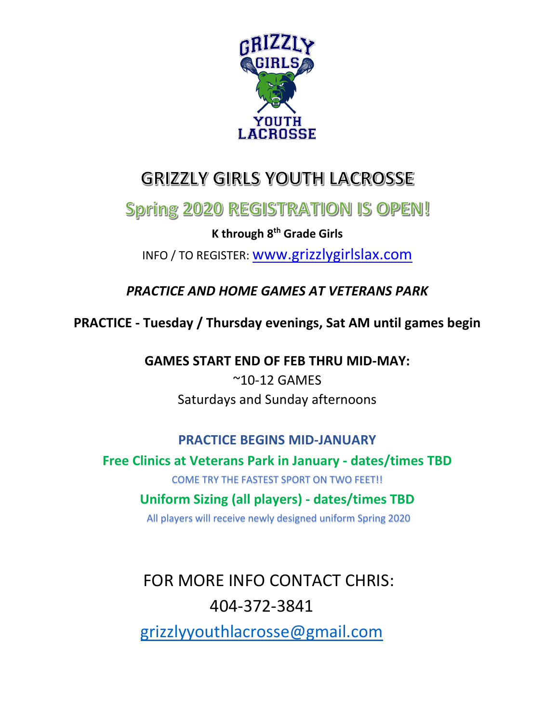

# **GRIZZLY GIRLS YOUTH LACROSSE**

## **Spring 2020 REGISTRATION IS OPEN!**

**K through 8 th Grade Girls**

INFO / TO REGISTER: [www.grizzlygirlslax.com](http://www.grizzlygirlslax.com/)

*PRACTICE AND HOME GAMES AT VETERANS PARK*

**PRACTICE - Tuesday / Thursday evenings, Sat AM until games begin**

**GAMES START END OF FEB THRU MID-MAY:**

~10-12 GAMES Saturdays and Sunday afternoons

#### **PRACTICE BEGINS MID-JANUARY**

**Free Clinics at Veterans Park in January - dates/times TBD**

COME TRY THE FASTEST SPORT ON TWO FEET!!

#### **Uniform Sizing (all players) - dates/times TBD**

All players will receive newly designed uniform Spring 2020

FOR MORE INFO CONTACT CHRIS: 404-372-3841

[grizzlyyouthlacrosse@gmail.com](mailto:grizzlyyouthlacrosse@gmail.com)